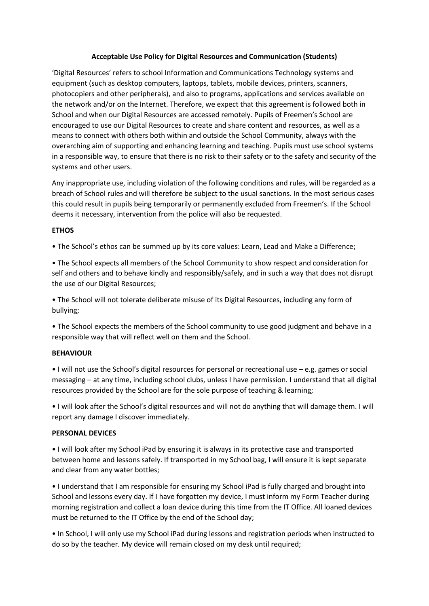### **Acceptable Use Policy for Digital Resources and Communication (Students)**

'Digital Resources' refers to school Information and Communications Technology systems and equipment (such as desktop computers, laptops, tablets, mobile devices, printers, scanners, photocopiers and other peripherals), and also to programs, applications and services available on the network and/or on the Internet. Therefore, we expect that this agreement is followed both in School and when our Digital Resources are accessed remotely. Pupils of Freemen's School are encouraged to use our Digital Resources to create and share content and resources, as well as a means to connect with others both within and outside the School Community, always with the overarching aim of supporting and enhancing learning and teaching. Pupils must use school systems in a responsible way, to ensure that there is no risk to their safety or to the safety and security of the systems and other users.

Any inappropriate use, including violation of the following conditions and rules, will be regarded as a breach of School rules and will therefore be subject to the usual sanctions. In the most serious cases this could result in pupils being temporarily or permanently excluded from Freemen's. If the School deems it necessary, intervention from the police will also be requested.

# **ETHOS**

• The School's ethos can be summed up by its core values: Learn, Lead and Make a Difference;

• The School expects all members of the School Community to show respect and consideration for self and others and to behave kindly and responsibly/safely, and in such a way that does not disrupt the use of our Digital Resources;

• The School will not tolerate deliberate misuse of its Digital Resources, including any form of bullying;

• The School expects the members of the School community to use good judgment and behave in a responsible way that will reflect well on them and the School.

### **BEHAVIOUR**

• I will not use the School's digital resources for personal or recreational use – e.g. games or social messaging – at any time, including school clubs, unless I have permission. I understand that all digital resources provided by the School are for the sole purpose of teaching & learning;

• I will look after the School's digital resources and will not do anything that will damage them. I will report any damage I discover immediately.

### **PERSONAL DEVICES**

• I will look after my School iPad by ensuring it is always in its protective case and transported between home and lessons safely. If transported in my School bag, I will ensure it is kept separate and clear from any water bottles;

• I understand that I am responsible for ensuring my School iPad is fully charged and brought into School and lessons every day. If I have forgotten my device, I must inform my Form Teacher during morning registration and collect a loan device during this time from the IT Office. All loaned devices must be returned to the IT Office by the end of the School day;

• In School, I will only use my School iPad during lessons and registration periods when instructed to do so by the teacher. My device will remain closed on my desk until required;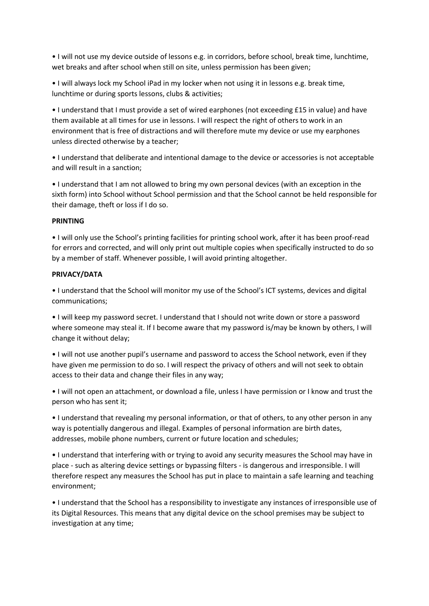• I will not use my device outside of lessons e.g. in corridors, before school, break time, lunchtime, wet breaks and after school when still on site, unless permission has been given;

• I will always lock my School iPad in my locker when not using it in lessons e.g. break time, lunchtime or during sports lessons, clubs & activities;

• I understand that I must provide a set of wired earphones (not exceeding £15 in value) and have them available at all times for use in lessons. I will respect the right of others to work in an environment that is free of distractions and will therefore mute my device or use my earphones unless directed otherwise by a teacher;

• I understand that deliberate and intentional damage to the device or accessories is not acceptable and will result in a sanction;

• I understand that I am not allowed to bring my own personal devices (with an exception in the sixth form) into School without School permission and that the School cannot be held responsible for their damage, theft or loss if I do so.

### **PRINTING**

• I will only use the School's printing facilities for printing school work, after it has been proof-read for errors and corrected, and will only print out multiple copies when specifically instructed to do so by a member of staff. Whenever possible, I will avoid printing altogether.

# **PRIVACY/DATA**

• I understand that the School will monitor my use of the School's ICT systems, devices and digital communications;

• I will keep my password secret. I understand that I should not write down or store a password where someone may steal it. If I become aware that my password is/may be known by others, I will change it without delay;

• I will not use another pupil's username and password to access the School network, even if they have given me permission to do so. I will respect the privacy of others and will not seek to obtain access to their data and change their files in any way;

• I will not open an attachment, or download a file, unless I have permission or I know and trust the person who has sent it;

• I understand that revealing my personal information, or that of others, to any other person in any way is potentially dangerous and illegal. Examples of personal information are birth dates, addresses, mobile phone numbers, current or future location and schedules;

• I understand that interfering with or trying to avoid any security measures the School may have in place - such as altering device settings or bypassing filters - is dangerous and irresponsible. I will therefore respect any measures the School has put in place to maintain a safe learning and teaching environment;

• I understand that the School has a responsibility to investigate any instances of irresponsible use of its Digital Resources. This means that any digital device on the school premises may be subject to investigation at any time;